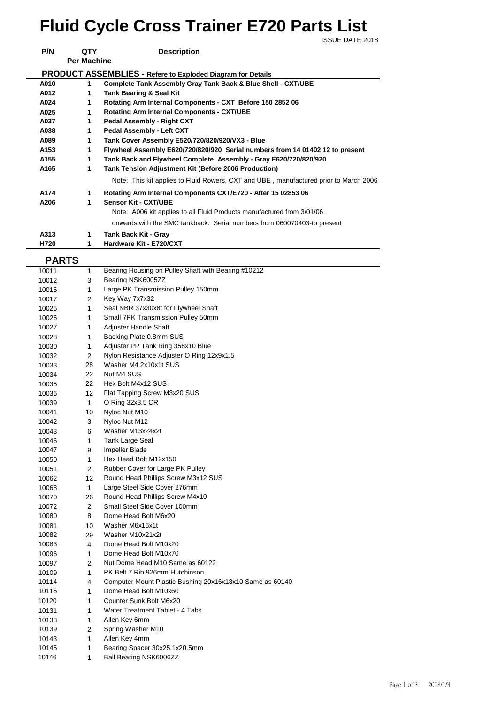## ISSUE DATE 2018 **Fluid Cycle Cross Trainer E720 Parts List**

**P/N QTY Description Per Machine PRODUCT ASSEMBLIES - Refere to Exploded Diagram for Details A010 1 Complete Tank Assembly Gray Tank Back & Blue Shell - CXT/UBE A012 1 Tank Bearing & Seal Kit A024 1 Rotating Arm Internal Components - CXT Before 150 2852 06 A025 1 Rotating Arm Internal Components - CXT/UBE A037 1 Pedal Assembly - Right CXT A038 1 Pedal Assembly - Left CXT A089 1 Tank Cover Assembly E520/720/820/920/VX3 - Blue A153 1 Flywheel Assembly E620/720/820/920 Serial numbers from 14 01402 12 to present A155 1 Tank Back and Flywheel Complete Assembly - Gray E620/720/820/920 A165 1 Tank Tension Adjustment Kit (Before 2006 Production) A174 1 Rotating Arm Internal Components CXT/E720 - After 15 02853 06 A206 1 Sensor Kit - CXT/UBE** Note: A006 kit applies to all Fluid Products manufactured from 3/01/06 . onwards with the SMC tankback. Serial numbers from 060070403-to present **A313 1 Tank Back Kit - Gray** Note: This kit applies to Fluid Rowers, CXT and UBE , manufactured prior to March 2006

**H720 1 Hardware Kit - E720/CXT** 

## **PARTS**

| 10011 | 1               | Bearing Housing on Pulley Shaft with Bearing #10212      |
|-------|-----------------|----------------------------------------------------------|
| 10012 | 3               | Bearing NSK6005ZZ                                        |
| 10015 | 1               | Large PK Transmission Pulley 150mm                       |
| 10017 | 2               | Key Way 7x7x32                                           |
| 10025 | 1               | Seal NBR 37x30x8t for Flywheel Shaft                     |
| 10026 | 1               | Small 7PK Transmission Pulley 50mm                       |
| 10027 | 1               | Adjuster Handle Shaft                                    |
| 10028 | 1               | Backing Plate 0.8mm SUS                                  |
| 10030 | 1               | Adjuster PP Tank Ring 358x10 Blue                        |
| 10032 | 2               | Nylon Resistance Adjuster O Ring 12x9x1.5                |
| 10033 | 28              | Washer M4.2x10x1t SUS                                    |
| 10034 | 22              | Nut M4 SUS                                               |
| 10035 | 22              | Hex Bolt M4x12 SUS                                       |
| 10036 | 12 <sup>2</sup> | Flat Tapping Screw M3x20 SUS                             |
| 10039 | $\mathbf{1}$    | O Ring 32x3.5 CR                                         |
| 10041 | 10              | Nyloc Nut M10                                            |
| 10042 | 3               | Nyloc Nut M12                                            |
| 10043 | 6               | Washer M13x24x2t                                         |
| 10046 | 1               | <b>Tank Large Seal</b>                                   |
| 10047 | 9               | Impeller Blade                                           |
| 10050 | 1               | Hex Head Bolt M12x150                                    |
| 10051 | $\overline{2}$  | Rubber Cover for Large PK Pulley                         |
| 10062 | 12              | Round Head Phillips Screw M3x12 SUS                      |
| 10068 | $\mathbf{1}$    | Large Steel Side Cover 276mm                             |
| 10070 | 26              | Round Head Phillips Screw M4x10                          |
| 10072 | $\overline{2}$  | Small Steel Side Cover 100mm                             |
| 10080 | 8               | Dome Head Bolt M6x20                                     |
| 10081 | 10              | Washer M6x16x1t                                          |
| 10082 | 29              | Washer M10x21x2t                                         |
| 10083 | 4               | Dome Head Bolt M10x20                                    |
| 10096 | 1               | Dome Head Bolt M10x70                                    |
| 10097 | 2               | Nut Dome Head M10 Same as 60122                          |
| 10109 | 1               | PK Belt 7 Rib 926mm Hutchinson                           |
| 10114 | 4               | Computer Mount Plastic Bushing 20x16x13x10 Same as 60140 |
| 10116 | 1               | Dome Head Bolt M10x60                                    |
| 10120 | 1               | Counter Sunk Bolt M6x20                                  |
| 10131 | 1               | Water Treatment Tablet - 4 Tabs                          |
| 10133 | 1               | Allen Key 6mm                                            |
| 10139 | 2               | Spring Washer M10                                        |
| 10143 | 1               | Allen Key 4mm                                            |
| 10145 | 1               | Bearing Spacer 30x25.1x20.5mm                            |
| 10146 | 1               | Ball Bearing NSK6006ZZ                                   |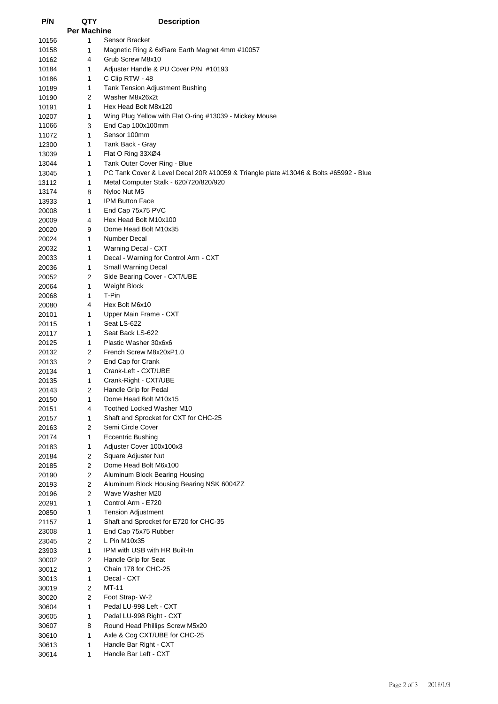| P/N            | QTY                     | <b>Description</b>                                                                   |
|----------------|-------------------------|--------------------------------------------------------------------------------------|
|                | <b>Per Machine</b><br>1 | Sensor Bracket                                                                       |
| 10156<br>10158 | 1                       | Magnetic Ring & 6xRare Earth Magnet 4mm #10057                                       |
| 10162          | 4                       | Grub Screw M8x10                                                                     |
| 10184          | 1                       | Adjuster Handle & PU Cover P/N #10193                                                |
| 10186          | 1                       | C Clip RTW - 48                                                                      |
| 10189          | 1                       | Tank Tension Adjustment Bushing                                                      |
| 10190          | 2                       | Washer M8x26x2t                                                                      |
| 10191          | 1                       | Hex Head Bolt M8x120                                                                 |
| 10207          | 1                       | Wing Plug Yellow with Flat O-ring #13039 - Mickey Mouse                              |
| 11066          | 3                       | End Cap 100x100mm                                                                    |
| 11072          | 1<br>1                  | Sensor 100mm<br>Tank Back - Gray                                                     |
| 12300<br>13039 | 1                       | Flat O Ring 33XØ4                                                                    |
| 13044          | $\mathbf{1}$            | Tank Outer Cover Ring - Blue                                                         |
| 13045          | 1                       | PC Tank Cover & Level Decal 20R #10059 & Triangle plate #13046 & Bolts #65992 - Blue |
| 13112          | 1                       | Metal Computer Stalk - 620/720/820/920                                               |
| 13174          | 8                       | Nyloc Nut M5                                                                         |
| 13933          | $\mathbf{1}$            | <b>IPM Button Face</b>                                                               |
| 20008          | 1                       | End Cap 75x75 PVC                                                                    |
| 20009          | 4                       | Hex Head Bolt M10x100                                                                |
| 20020          | 9                       | Dome Head Bolt M10x35                                                                |
| 20024          | 1                       | Number Decal                                                                         |
| 20032<br>20033 | $\mathbf{1}$<br>1       | Warning Decal - CXT<br>Decal - Warning for Control Arm - CXT                         |
| 20036          | $\mathbf{1}$            | Small Warning Decal                                                                  |
| 20052          | 2                       | Side Bearing Cover - CXT/UBE                                                         |
| 20064          | 1                       | <b>Weight Block</b>                                                                  |
| 20068          | 1                       | T-Pin                                                                                |
| 20080          | 4                       | Hex Bolt M6x10                                                                       |
| 20101          | 1                       | Upper Main Frame - CXT                                                               |
| 20115          | 1                       | Seat LS-622                                                                          |
| 20117          | 1                       | Seat Back LS-622                                                                     |
| 20125          | 1<br>2                  | Plastic Washer 30x6x6<br>French Screw M8x20xP1.0                                     |
| 20132<br>20133 | 2                       | End Cap for Crank                                                                    |
| 20134          | $\mathbf{1}$            | Crank-Left - CXT/UBE                                                                 |
| 20135          | 1                       | Crank-Right - CXT/UBE                                                                |
| 20143          | 2                       | Handle Grip for Pedal                                                                |
| 20150          | 1                       | Dome Head Bolt M10x15                                                                |
| 20151          | 4                       | Toothed Locked Washer M10                                                            |
| 20157          | 1                       | Shaft and Sprocket for CXT for CHC-25                                                |
| 20163          | 2                       | Semi Circle Cover                                                                    |
| 20174          | 1                       | <b>Eccentric Bushing</b>                                                             |
| 20183          | 1<br>$\overline{2}$     | Adjuster Cover 100x100x3<br>Square Adjuster Nut                                      |
| 20184<br>20185 | 2                       | Dome Head Bolt M6x100                                                                |
| 20190          | 2                       | Aluminum Block Bearing Housing                                                       |
| 20193          | $\mathbf{2}$            | Aluminum Block Housing Bearing NSK 6004ZZ                                            |
| 20196          | 2                       | Wave Washer M20                                                                      |
| 20291          | 1                       | Control Arm - E720                                                                   |
| 20850          | 1                       | <b>Tension Adjustment</b>                                                            |
| 21157          | 1                       | Shaft and Sprocket for E720 for CHC-35                                               |
| 23008          | 1                       | End Cap 75x75 Rubber                                                                 |
| 23045          | 2                       | L Pin M10x35                                                                         |
| 23903<br>30002 | 1<br>2                  | IPM with USB with HR Built-In<br>Handle Grip for Seat                                |
| 30012          | 1                       | Chain 178 for CHC-25                                                                 |
| 30013          | 1                       | Decal - CXT                                                                          |
| 30019          | 2                       | MT-11                                                                                |
| 30020          | 2                       | Foot Strap-W-2                                                                       |
| 30604          | 1                       | Pedal LU-998 Left - CXT                                                              |
| 30605          | 1                       | Pedal LU-998 Right - CXT                                                             |
| 30607          | 8                       | Round Head Phillips Screw M5x20                                                      |
| 30610          | 1                       | Axle & Cog CXT/UBE for CHC-25                                                        |
| 30613          | 1                       | Handle Bar Right - CXT<br>Handle Bar Left - CXT                                      |
| 30614          | 1                       |                                                                                      |